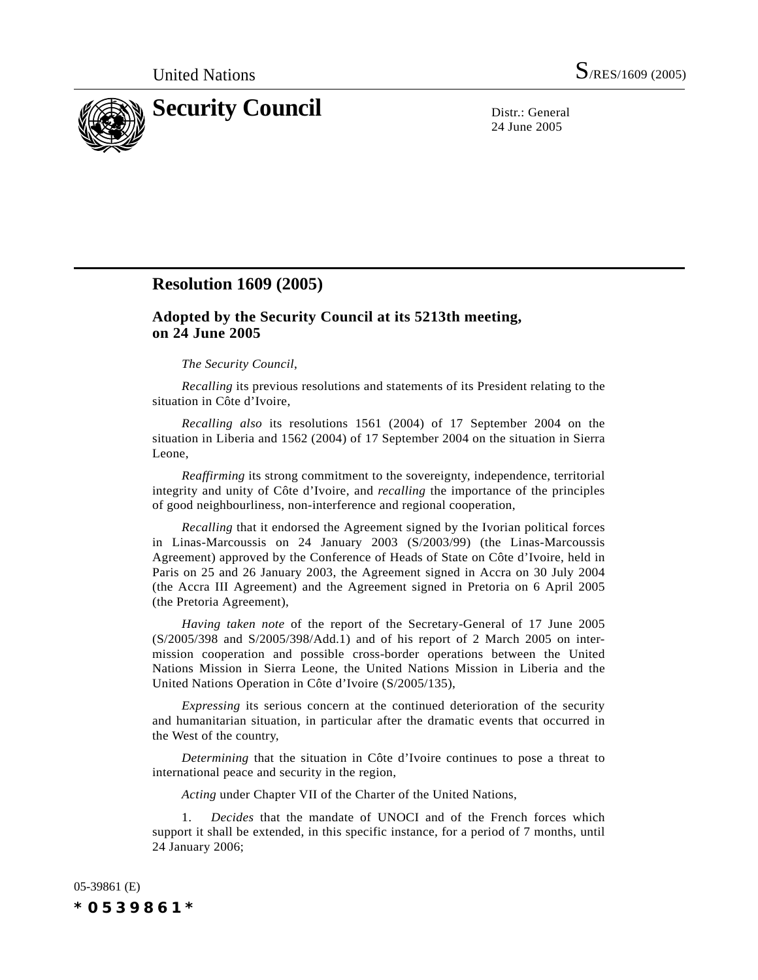

24 June 2005

# **Resolution 1609 (2005)**

# **Adopted by the Security Council at its 5213th meeting, on 24 June 2005**

## *The Security Council*,

*Recalling* its previous resolutions and statements of its President relating to the situation in Côte d'Ivoire,

*Recalling also* its resolutions 1561 (2004) of 17 September 2004 on the situation in Liberia and 1562 (2004) of 17 September 2004 on the situation in Sierra Leone,

*Reaffirming* its strong commitment to the sovereignty, independence, territorial integrity and unity of Côte d'Ivoire, and *recalling* the importance of the principles of good neighbourliness, non-interference and regional cooperation,

*Recalling* that it endorsed the Agreement signed by the Ivorian political forces in Linas-Marcoussis on 24 January 2003 (S/2003/99) (the Linas-Marcoussis Agreement) approved by the Conference of Heads of State on Côte d'Ivoire, held in Paris on 25 and 26 January 2003, the Agreement signed in Accra on 30 July 2004 (the Accra III Agreement) and the Agreement signed in Pretoria on 6 April 2005 (the Pretoria Agreement),

*Having taken note* of the report of the Secretary-General of 17 June 2005 (S/2005/398 and S/2005/398/Add.1) and of his report of 2 March 2005 on intermission cooperation and possible cross-border operations between the United Nations Mission in Sierra Leone, the United Nations Mission in Liberia and the United Nations Operation in Côte d'Ivoire (S/2005/135),

*Expressing* its serious concern at the continued deterioration of the security and humanitarian situation, in particular after the dramatic events that occurred in the West of the country,

*Determining* that the situation in Côte d'Ivoire continues to pose a threat to international peace and security in the region,

*Acting* under Chapter VII of the Charter of the United Nations,

1. *Decides* that the mandate of UNOCI and of the French forces which support it shall be extended, in this specific instance, for a period of 7 months, until 24 January 2006;

05-39861 (E) *\*0539861\**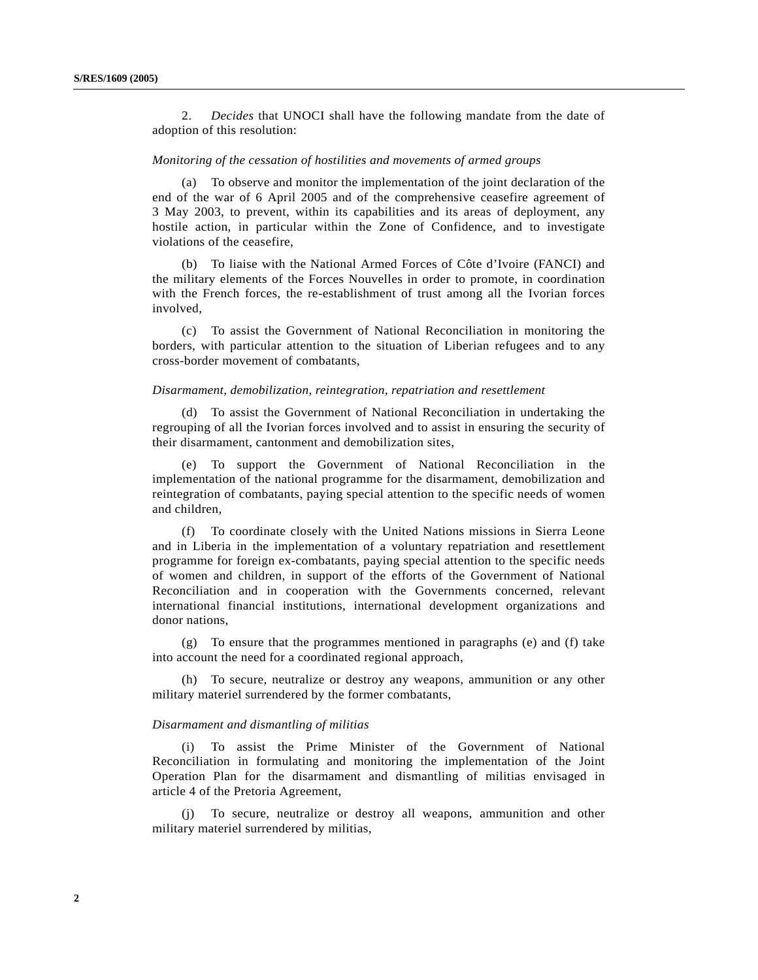2. *Decides* that UNOCI shall have the following mandate from the date of adoption of this resolution:

## *Monitoring of the cessation of hostilities and movements of armed groups*

(a) To observe and monitor the implementation of the joint declaration of the end of the war of 6 April 2005 and of the comprehensive ceasefire agreement of 3 May 2003, to prevent, within its capabilities and its areas of deployment, any hostile action, in particular within the Zone of Confidence, and to investigate violations of the ceasefire,

(b) To liaise with the National Armed Forces of Côte d'Ivoire (FANCI) and the military elements of the Forces Nouvelles in order to promote, in coordination with the French forces, the re-establishment of trust among all the Ivorian forces involved,

(c) To assist the Government of National Reconciliation in monitoring the borders, with particular attention to the situation of Liberian refugees and to any cross-border movement of combatants,

#### *Disarmament, demobilization, reintegration, repatriation and resettlement*

(d) To assist the Government of National Reconciliation in undertaking the regrouping of all the Ivorian forces involved and to assist in ensuring the security of their disarmament, cantonment and demobilization sites,

(e) To support the Government of National Reconciliation in the implementation of the national programme for the disarmament, demobilization and reintegration of combatants, paying special attention to the specific needs of women and children,

(f) To coordinate closely with the United Nations missions in Sierra Leone and in Liberia in the implementation of a voluntary repatriation and resettlement programme for foreign ex-combatants, paying special attention to the specific needs of women and children, in support of the efforts of the Government of National Reconciliation and in cooperation with the Governments concerned, relevant international financial institutions, international development organizations and donor nations,

(g) To ensure that the programmes mentioned in paragraphs (e) and (f) take into account the need for a coordinated regional approach,

(h) To secure, neutralize or destroy any weapons, ammunition or any other military materiel surrendered by the former combatants,

## *Disarmament and dismantling of militias*

(i) To assist the Prime Minister of the Government of National Reconciliation in formulating and monitoring the implementation of the Joint Operation Plan for the disarmament and dismantling of militias envisaged in article 4 of the Pretoria Agreement,

(j) To secure, neutralize or destroy all weapons, ammunition and other military materiel surrendered by militias,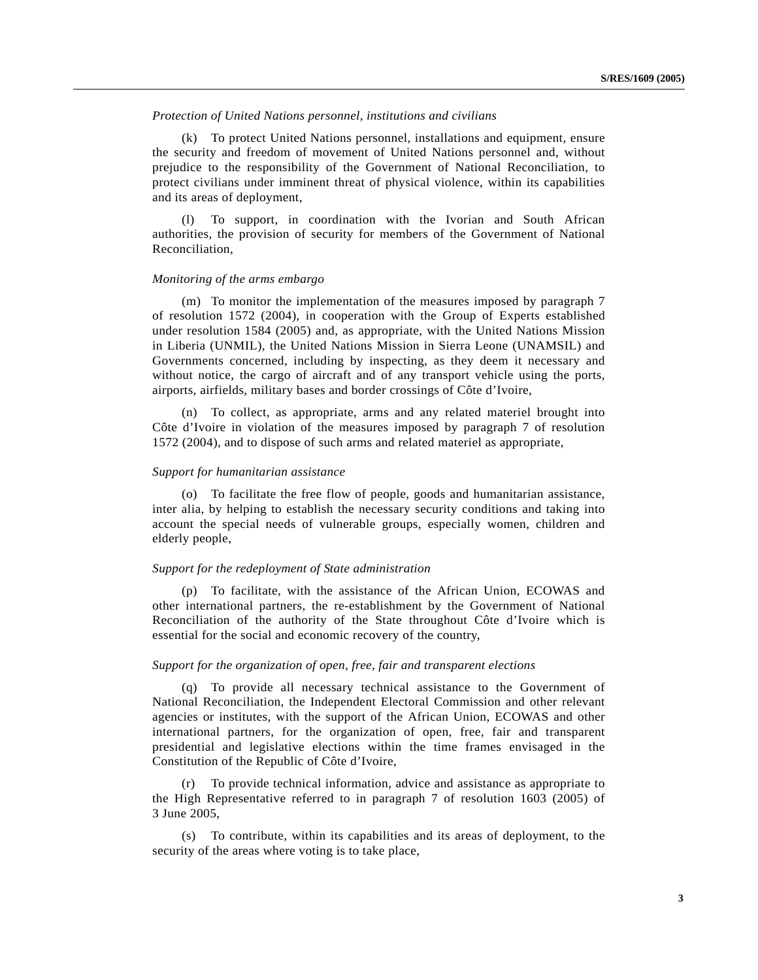## *Protection of United Nations personnel, institutions and civilians*

(k) To protect United Nations personnel, installations and equipment, ensure the security and freedom of movement of United Nations personnel and, without prejudice to the responsibility of the Government of National Reconciliation, to protect civilians under imminent threat of physical violence, within its capabilities and its areas of deployment,

(l) To support, in coordination with the Ivorian and South African authorities, the provision of security for members of the Government of National Reconciliation,

#### *Monitoring of the arms embargo*

(m) To monitor the implementation of the measures imposed by paragraph 7 of resolution 1572 (2004), in cooperation with the Group of Experts established under resolution 1584 (2005) and, as appropriate, with the United Nations Mission in Liberia (UNMIL), the United Nations Mission in Sierra Leone (UNAMSIL) and Governments concerned, including by inspecting, as they deem it necessary and without notice, the cargo of aircraft and of any transport vehicle using the ports, airports, airfields, military bases and border crossings of Côte d'Ivoire,

(n) To collect, as appropriate, arms and any related materiel brought into Côte d'Ivoire in violation of the measures imposed by paragraph 7 of resolution 1572 (2004), and to dispose of such arms and related materiel as appropriate,

#### *Support for humanitarian assistance*

(o) To facilitate the free flow of people, goods and humanitarian assistance, inter alia, by helping to establish the necessary security conditions and taking into account the special needs of vulnerable groups, especially women, children and elderly people,

## *Support for the redeployment of State administration*

(p) To facilitate, with the assistance of the African Union, ECOWAS and other international partners, the re-establishment by the Government of National Reconciliation of the authority of the State throughout Côte d'Ivoire which is essential for the social and economic recovery of the country,

#### *Support for the organization of open, free, fair and transparent elections*

(q) To provide all necessary technical assistance to the Government of National Reconciliation, the Independent Electoral Commission and other relevant agencies or institutes, with the support of the African Union, ECOWAS and other international partners, for the organization of open, free, fair and transparent presidential and legislative elections within the time frames envisaged in the Constitution of the Republic of Côte d'Ivoire,

(r) To provide technical information, advice and assistance as appropriate to the High Representative referred to in paragraph 7 of resolution 1603 (2005) of 3 June 2005,

(s) To contribute, within its capabilities and its areas of deployment, to the security of the areas where voting is to take place,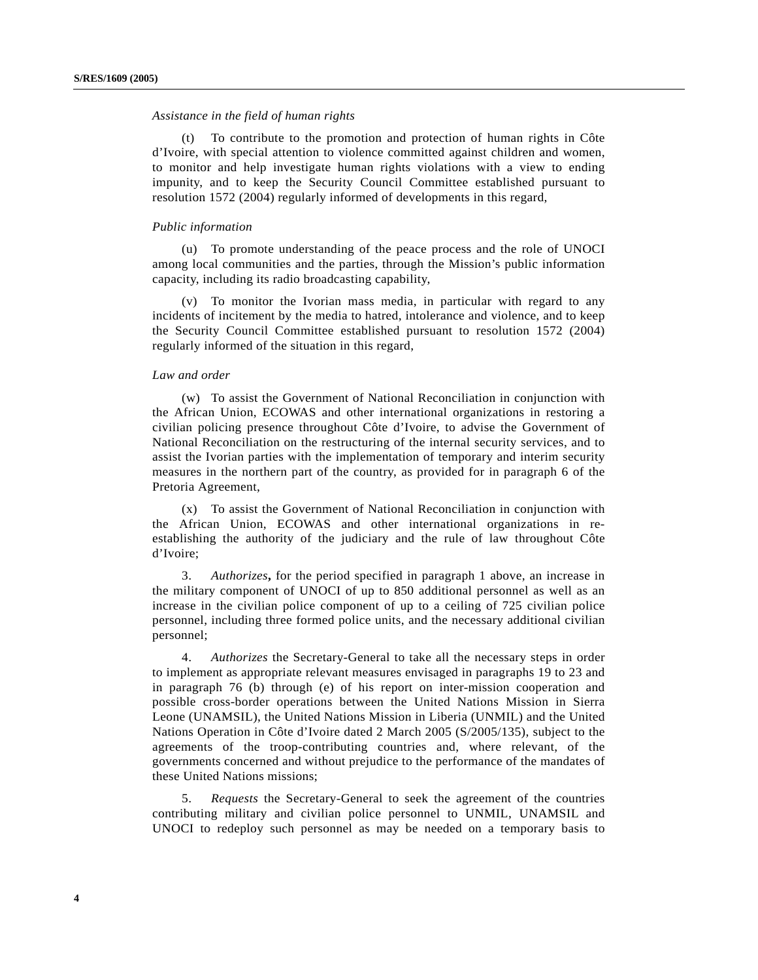## *Assistance in the field of human rights*

(t) To contribute to the promotion and protection of human rights in Côte d'Ivoire, with special attention to violence committed against children and women, to monitor and help investigate human rights violations with a view to ending impunity, and to keep the Security Council Committee established pursuant to resolution 1572 (2004) regularly informed of developments in this regard,

#### *Public information*

(u) To promote understanding of the peace process and the role of UNOCI among local communities and the parties, through the Mission's public information capacity, including its radio broadcasting capability,

(v) To monitor the Ivorian mass media, in particular with regard to any incidents of incitement by the media to hatred, intolerance and violence, and to keep the Security Council Committee established pursuant to resolution 1572 (2004) regularly informed of the situation in this regard,

#### *Law and order*

(w) To assist the Government of National Reconciliation in conjunction with the African Union, ECOWAS and other international organizations in restoring a civilian policing presence throughout Côte d'Ivoire, to advise the Government of National Reconciliation on the restructuring of the internal security services, and to assist the Ivorian parties with the implementation of temporary and interim security measures in the northern part of the country, as provided for in paragraph 6 of the Pretoria Agreement,

(x) To assist the Government of National Reconciliation in conjunction with the African Union, ECOWAS and other international organizations in reestablishing the authority of the judiciary and the rule of law throughout Côte d'Ivoire;

3. *Authorizes***,** for the period specified in paragraph 1 above, an increase in the military component of UNOCI of up to 850 additional personnel as well as an increase in the civilian police component of up to a ceiling of 725 civilian police personnel, including three formed police units, and the necessary additional civilian personnel;

4. *Authorizes* the Secretary-General to take all the necessary steps in order to implement as appropriate relevant measures envisaged in paragraphs 19 to 23 and in paragraph 76 (b) through (e) of his report on inter-mission cooperation and possible cross-border operations between the United Nations Mission in Sierra Leone (UNAMSIL), the United Nations Mission in Liberia (UNMIL) and the United Nations Operation in Côte d'Ivoire dated 2 March 2005 (S/2005/135), subject to the agreements of the troop-contributing countries and, where relevant, of the governments concerned and without prejudice to the performance of the mandates of these United Nations missions;

5. *Requests* the Secretary-General to seek the agreement of the countries contributing military and civilian police personnel to UNMIL, UNAMSIL and UNOCI to redeploy such personnel as may be needed on a temporary basis to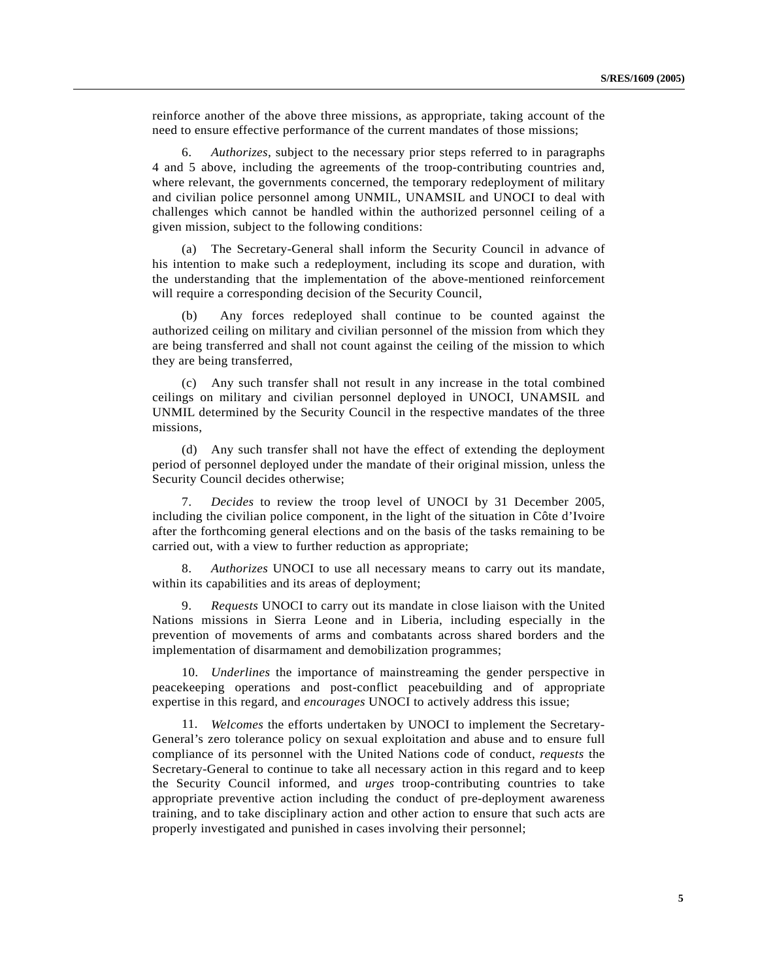reinforce another of the above three missions, as appropriate, taking account of the need to ensure effective performance of the current mandates of those missions;

6. *Authorizes*, subject to the necessary prior steps referred to in paragraphs 4 and 5 above, including the agreements of the troop-contributing countries and, where relevant, the governments concerned, the temporary redeployment of military and civilian police personnel among UNMIL, UNAMSIL and UNOCI to deal with challenges which cannot be handled within the authorized personnel ceiling of a given mission, subject to the following conditions:

(a) The Secretary-General shall inform the Security Council in advance of his intention to make such a redeployment, including its scope and duration, with the understanding that the implementation of the above-mentioned reinforcement will require a corresponding decision of the Security Council,

(b) Any forces redeployed shall continue to be counted against the authorized ceiling on military and civilian personnel of the mission from which they are being transferred and shall not count against the ceiling of the mission to which they are being transferred,

(c) Any such transfer shall not result in any increase in the total combined ceilings on military and civilian personnel deployed in UNOCI, UNAMSIL and UNMIL determined by the Security Council in the respective mandates of the three missions,

(d) Any such transfer shall not have the effect of extending the deployment period of personnel deployed under the mandate of their original mission, unless the Security Council decides otherwise;

7. *Decides* to review the troop level of UNOCI by 31 December 2005, including the civilian police component, in the light of the situation in Côte d'Ivoire after the forthcoming general elections and on the basis of the tasks remaining to be carried out, with a view to further reduction as appropriate;

8. *Authorizes* UNOCI to use all necessary means to carry out its mandate, within its capabilities and its areas of deployment;

9. *Requests* UNOCI to carry out its mandate in close liaison with the United Nations missions in Sierra Leone and in Liberia, including especially in the prevention of movements of arms and combatants across shared borders and the implementation of disarmament and demobilization programmes;

10. *Underlines* the importance of mainstreaming the gender perspective in peacekeeping operations and post-conflict peacebuilding and of appropriate expertise in this regard, and *encourages* UNOCI to actively address this issue;

11. *Welcomes* the efforts undertaken by UNOCI to implement the Secretary-General's zero tolerance policy on sexual exploitation and abuse and to ensure full compliance of its personnel with the United Nations code of conduct, *requests* the Secretary-General to continue to take all necessary action in this regard and to keep the Security Council informed, and *urges* troop-contributing countries to take appropriate preventive action including the conduct of pre-deployment awareness training, and to take disciplinary action and other action to ensure that such acts are properly investigated and punished in cases involving their personnel;